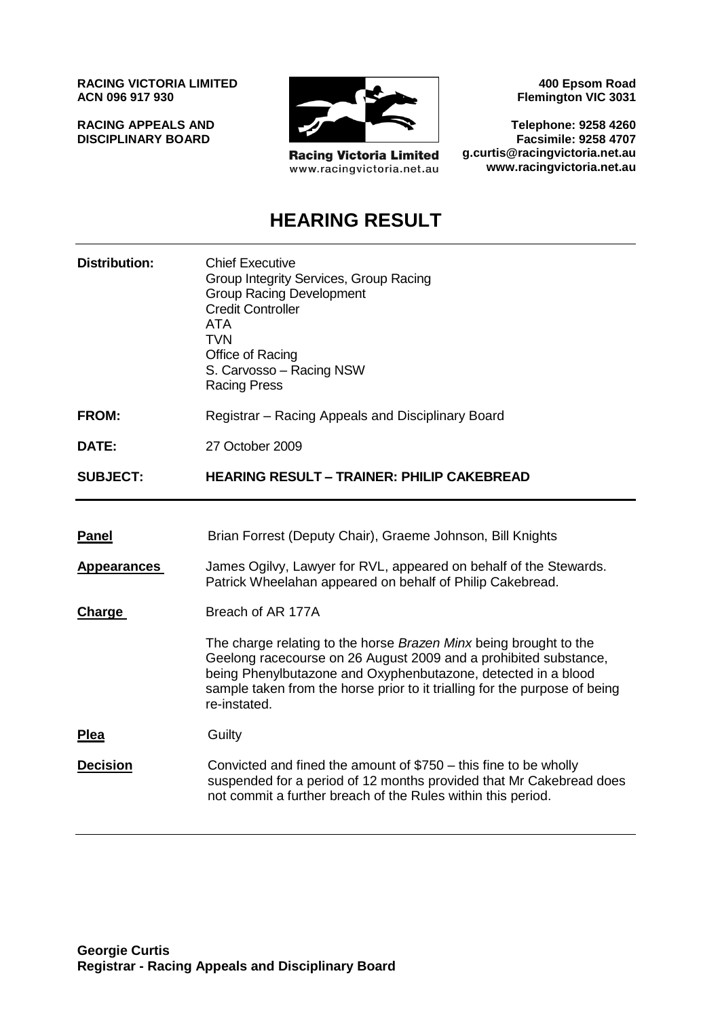**RACING VICTORIA LIMITED ACN 096 917 930**

**RACING APPEALS AND DISCIPLINARY BOARD**



**Racing Victoria Limited** www.racingvictoria.net.au

**400 Epsom Road Flemington VIC 3031**

**Telephone: 9258 4260 Facsimile: 9258 4707 g.curtis@racingvictoria.net.au www.racingvictoria.net.au**

## **HEARING RESULT**

| <b>Distribution:</b> | <b>Chief Executive</b><br>Group Integrity Services, Group Racing<br><b>Group Racing Development</b><br><b>Credit Controller</b><br>ATA<br>TVN<br>Office of Racing<br>S. Carvosso - Racing NSW<br><b>Racing Press</b>                                                                                 |
|----------------------|------------------------------------------------------------------------------------------------------------------------------------------------------------------------------------------------------------------------------------------------------------------------------------------------------|
| <b>FROM:</b>         | Registrar – Racing Appeals and Disciplinary Board                                                                                                                                                                                                                                                    |
| DATE:                | 27 October 2009                                                                                                                                                                                                                                                                                      |
| <b>SUBJECT:</b>      | <b>HEARING RESULT - TRAINER: PHILIP CAKEBREAD</b>                                                                                                                                                                                                                                                    |
|                      |                                                                                                                                                                                                                                                                                                      |
| <b>Panel</b>         | Brian Forrest (Deputy Chair), Graeme Johnson, Bill Knights                                                                                                                                                                                                                                           |
| <b>Appearances</b>   | James Ogilvy, Lawyer for RVL, appeared on behalf of the Stewards.<br>Patrick Wheelahan appeared on behalf of Philip Cakebread.                                                                                                                                                                       |
| Charge               | Breach of AR 177A                                                                                                                                                                                                                                                                                    |
|                      | The charge relating to the horse Brazen Minx being brought to the<br>Geelong racecourse on 26 August 2009 and a prohibited substance,<br>being Phenylbutazone and Oxyphenbutazone, detected in a blood<br>sample taken from the horse prior to it trialling for the purpose of being<br>re-instated. |
| <b>Plea</b>          | Guilty                                                                                                                                                                                                                                                                                               |
| <b>Decision</b>      | Convicted and fined the amount of $$750 - this$ fine to be wholly<br>suspended for a period of 12 months provided that Mr Cakebread does<br>not commit a further breach of the Rules within this period.                                                                                             |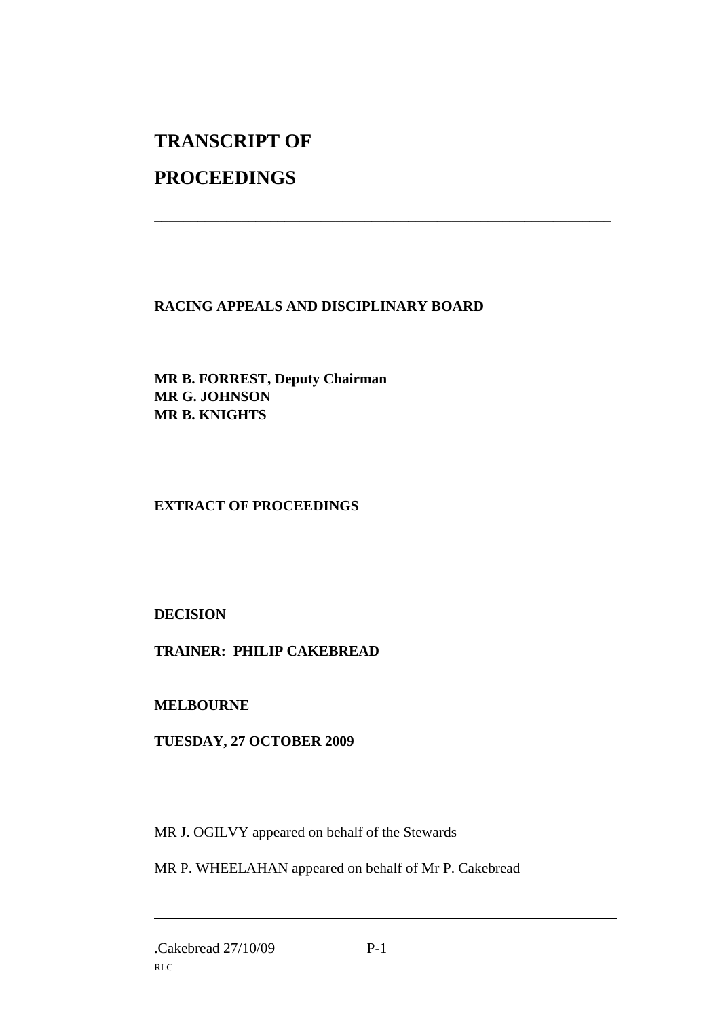# **TRANSCRIPT OF**

## **PROCEEDINGS**

**RACING APPEALS AND DISCIPLINARY BOARD**

\_\_\_\_\_\_\_\_\_\_\_\_\_\_\_\_\_\_\_\_\_\_\_\_\_\_\_\_\_\_\_\_\_\_\_\_\_\_\_\_\_\_\_\_\_\_\_\_\_\_\_\_\_\_\_\_\_\_\_\_\_\_\_

**MR B. FORREST, Deputy Chairman MR G. JOHNSON MR B. KNIGHTS**

#### **EXTRACT OF PROCEEDINGS**

**DECISION** 

**TRAINER: PHILIP CAKEBREAD**

**MELBOURNE**

**TUESDAY, 27 OCTOBER 2009**

MR J. OGILVY appeared on behalf of the Stewards

MR P. WHEELAHAN appeared on behalf of Mr P. Cakebread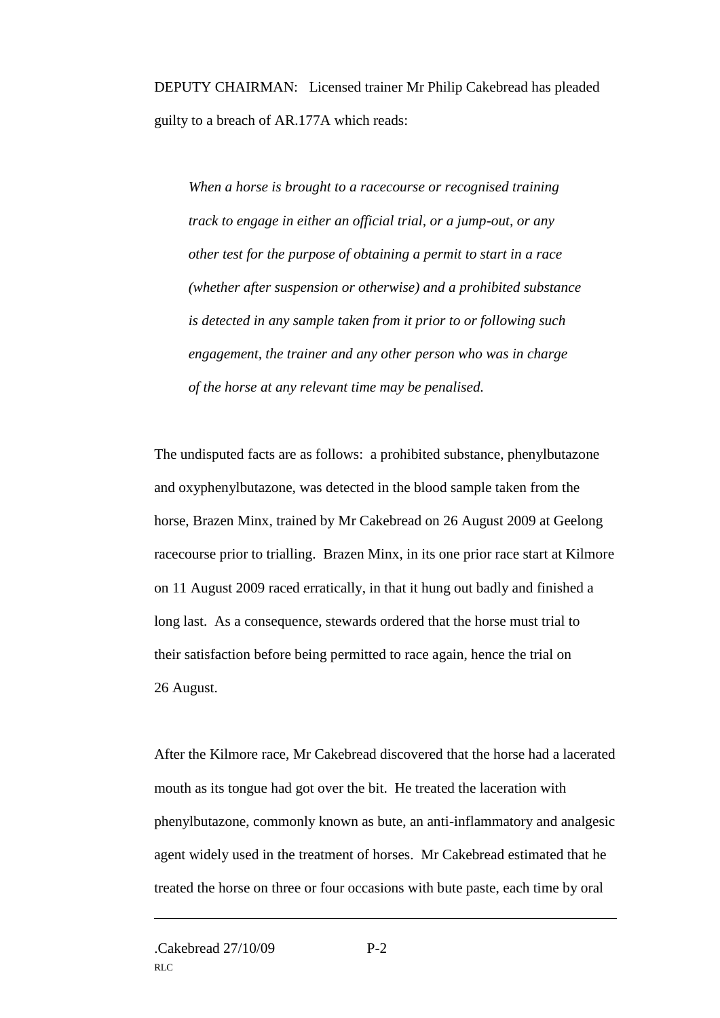DEPUTY CHAIRMAN: Licensed trainer Mr Philip Cakebread has pleaded guilty to a breach of AR.177A which reads:

*When a horse is brought to a racecourse or recognised training track to engage in either an official trial, or a jump-out, or any other test for the purpose of obtaining a permit to start in a race (whether after suspension or otherwise) and a prohibited substance is detected in any sample taken from it prior to or following such engagement, the trainer and any other person who was in charge of the horse at any relevant time may be penalised.*

The undisputed facts are as follows: a prohibited substance, phenylbutazone and oxyphenylbutazone, was detected in the blood sample taken from the horse, Brazen Minx, trained by Mr Cakebread on 26 August 2009 at Geelong racecourse prior to trialling. Brazen Minx, in its one prior race start at Kilmore on 11 August 2009 raced erratically, in that it hung out badly and finished a long last. As a consequence, stewards ordered that the horse must trial to their satisfaction before being permitted to race again, hence the trial on 26 August.

After the Kilmore race, Mr Cakebread discovered that the horse had a lacerated mouth as its tongue had got over the bit. He treated the laceration with phenylbutazone, commonly known as bute, an anti-inflammatory and analgesic agent widely used in the treatment of horses. Mr Cakebread estimated that he treated the horse on three or four occasions with bute paste, each time by oral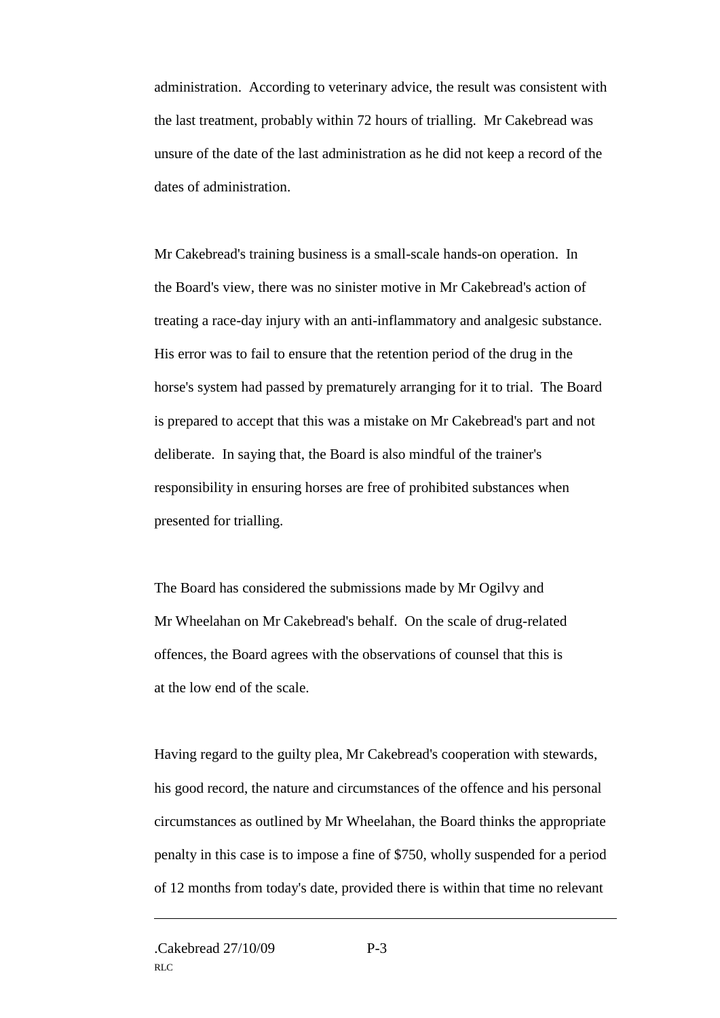administration. According to veterinary advice, the result was consistent with the last treatment, probably within 72 hours of trialling. Mr Cakebread was unsure of the date of the last administration as he did not keep a record of the dates of administration.

Mr Cakebread's training business is a small-scale hands-on operation. In the Board's view, there was no sinister motive in Mr Cakebread's action of treating a race-day injury with an anti-inflammatory and analgesic substance. His error was to fail to ensure that the retention period of the drug in the horse's system had passed by prematurely arranging for it to trial. The Board is prepared to accept that this was a mistake on Mr Cakebread's part and not deliberate. In saying that, the Board is also mindful of the trainer's responsibility in ensuring horses are free of prohibited substances when presented for trialling.

The Board has considered the submissions made by Mr Ogilvy and Mr Wheelahan on Mr Cakebread's behalf. On the scale of drug-related offences, the Board agrees with the observations of counsel that this is at the low end of the scale.

Having regard to the guilty plea, Mr Cakebread's cooperation with stewards, his good record, the nature and circumstances of the offence and his personal circumstances as outlined by Mr Wheelahan, the Board thinks the appropriate penalty in this case is to impose a fine of \$750, wholly suspended for a period of 12 months from today's date, provided there is within that time no relevant